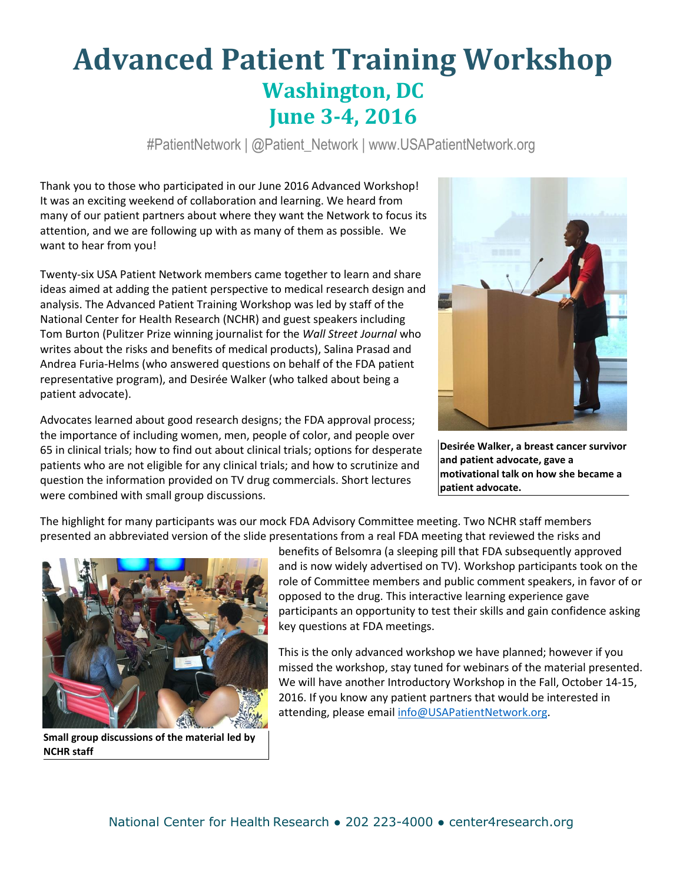# **Advanced Patient Training Workshop Washington, DC June 3-4, 2016**

#PatientNetwork | @Patient\_Network | www.USAPatientNetwork.org

Thank you to those who participated in our June 2016 Advanced Workshop! It was an exciting weekend of collaboration and learning. We heard from many of our patient partners about where they want the Network to focus its attention, and we are following up with as many of them as possible. We want to hear from you!

Twenty-six USA Patient Network members came together to learn and share ideas aimed at adding the patient perspective to medical research design and analysis. The Advanced Patient Training Workshop was led by staff of the National Center for Health Research (NCHR) and guest speakers including Tom Burton (Pulitzer Prize winning journalist for the *Wall Street Journal* who writes about the risks and benefits of medical products), Salina Prasad and Andrea Furia-Helms (who answered questions on behalf of the FDA patient representative program), and Desirée Walker (who talked about being a patient advocate).

Advocates learned about good research designs; the FDA approval process; the importance of including women, men, people of color, and people over 65 in clinical trials; how to find out about clinical trials; options for desperate patients who are not eligible for any clinical trials; and how to scrutinize and question the information provided on TV drug commercials. Short lectures were combined with small group discussions.



**Desirée Walker, a breast cancer survivor and patient advocate, gave a motivational talk on how she became a patient advocate.**

The highlight for many participants was our mock FDA Advisory Committee meeting. Two NCHR staff members presented an abbreviated version of the slide presentations from a real FDA meeting that reviewed the risks and



**Small group discussions of the material led by NCHR staff**

benefits of Belsomra (a sleeping pill that FDA subsequently approved and is now widely advertised on TV). Workshop participants took on the role of Committee members and public comment speakers, in favor of or opposed to the drug. This interactive learning experience gave participants an opportunity to test their skills and gain confidence asking key questions at FDA meetings.

This is the only advanced workshop we have planned; however if you missed the workshop, stay tuned for webinars of the material presented. We will have another Introductory Workshop in the Fall, October 14-15, 2016. If you know any patient partners that would be interested in attending, please emai[l info@USAPatientNetwork.org.](mailto:info@USAPatientNetwork.org)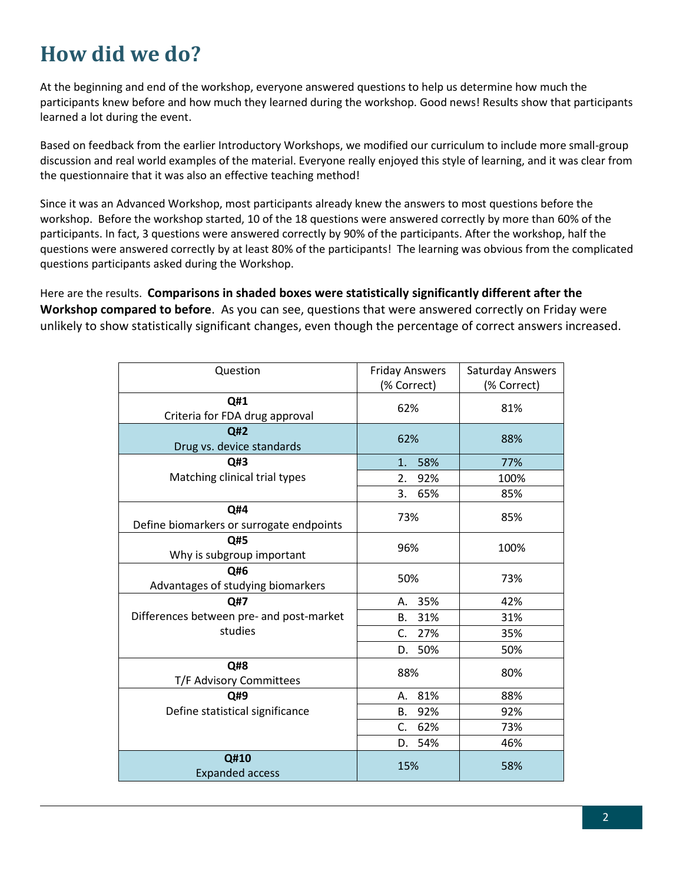## **How did we do?**

At the beginning and end of the workshop, everyone answered questions to help us determine how much the participants knew before and how much they learned during the workshop. Good news! Results show that participants learned a lot during the event.

Based on feedback from the earlier Introductory Workshops, we modified our curriculum to include more small-group discussion and real world examples of the material. Everyone really enjoyed this style of learning, and it was clear from the questionnaire that it was also an effective teaching method!

Since it was an Advanced Workshop, most participants already knew the answers to most questions before the workshop. Before the workshop started, 10 of the 18 questions were answered correctly by more than 60% of the participants. In fact, 3 questions were answered correctly by 90% of the participants. After the workshop, half the questions were answered correctly by at least 80% of the participants! The learning was obvious from the complicated questions participants asked during the Workshop.

Here are the results. **Comparisons in shaded boxes were statistically significantly different after the Workshop compared to before**. As you can see, questions that were answered correctly on Friday were unlikely to show statistically significant changes, even though the percentage of correct answers increased.

| Question                                        | <b>Friday Answers</b><br>(% Correct) | Saturday Answers<br>(% Correct) |
|-------------------------------------------------|--------------------------------------|---------------------------------|
| Q#1<br>Criteria for FDA drug approval           | 62%                                  | 81%                             |
| Q#2<br>Drug vs. device standards                | 62%                                  | 88%                             |
| Q#3                                             | 58%<br>1.                            | 77%                             |
| Matching clinical trial types                   | 2.<br>92%                            | 100%                            |
|                                                 | 3. 65%                               | 85%                             |
| Q#4<br>Define biomarkers or surrogate endpoints | 73%                                  | 85%                             |
| Q#5<br>Why is subgroup important                | 96%                                  | 100%                            |
| Q#6<br>Advantages of studying biomarkers        | 50%                                  | 73%                             |
| Q#7                                             | A. 35%                               | 42%                             |
| Differences between pre- and post-market        | B. 31%                               | 31%                             |
| studies                                         | C. 27%                               | 35%                             |
|                                                 | D. 50%                               | 50%                             |
| Q#8<br>T/F Advisory Committees                  | 88%                                  | 80%                             |
| Q#9                                             | A. 81%                               | 88%                             |
| Define statistical significance                 | B. 92%                               | 92%                             |
|                                                 | C. 62%                               | 73%                             |
|                                                 | 54%<br>D.                            | 46%                             |
| Q#10<br><b>Expanded access</b>                  | 15%<br>58%                           |                                 |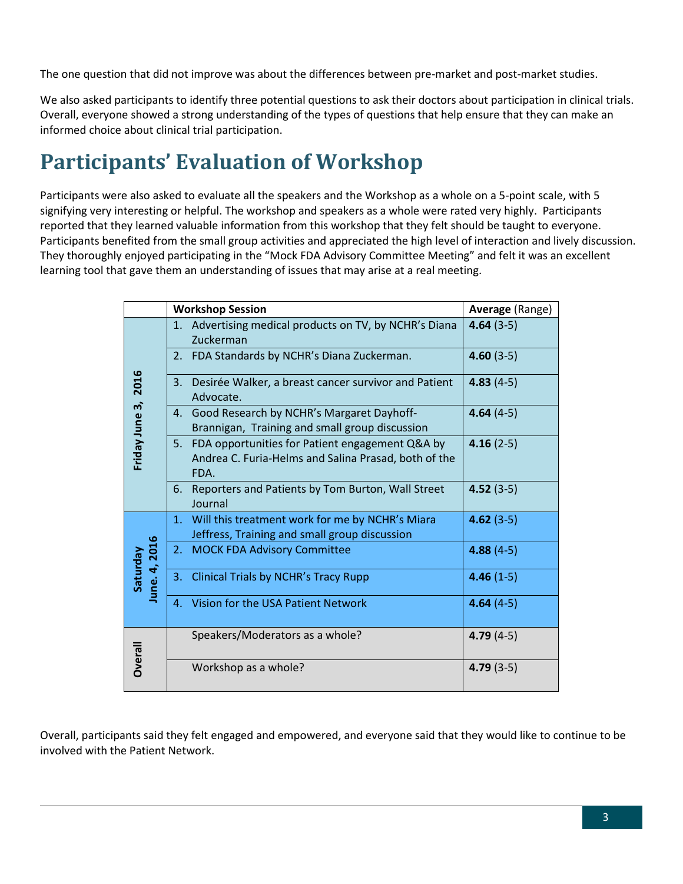The one question that did not improve was about the differences between pre-market and post-market studies.

We also asked participants to identify three potential questions to ask their doctors about participation in clinical trials. Overall, everyone showed a strong understanding of the types of questions that help ensure that they can make an informed choice about clinical trial participation.

### **Participants' Evaluation of Workshop**

Participants were also asked to evaluate all the speakers and the Workshop as a whole on a 5-point scale, with 5 signifying very interesting or helpful. The workshop and speakers as a whole were rated very highly. Participants reported that they learned valuable information from this workshop that they felt should be taught to everyone. Participants benefited from the small group activities and appreciated the high level of interaction and lively discussion. They thoroughly enjoyed participating in the "Mock FDA Advisory Committee Meeting" and felt it was an excellent learning tool that gave them an understanding of issues that may arise at a real meeting.

|                | <b>Workshop Session</b> |                                                                                                            | <b>Average (Range)</b> |
|----------------|-------------------------|------------------------------------------------------------------------------------------------------------|------------------------|
| 2016           |                         | 1. Advertising medical products on TV, by NCHR's Diana<br>Zuckerman                                        | $4.64(3-5)$            |
|                |                         | 2. FDA Standards by NCHR's Diana Zuckerman.                                                                | $4.60(3-5)$            |
|                |                         | 3. Desirée Walker, a breast cancer survivor and Patient<br>Advocate.                                       | $4.83(4-5)$            |
|                |                         | 4. Good Research by NCHR's Margaret Dayhoff-<br>Brannigan, Training and small group discussion             | $4.64(4-5)$            |
| Friday June 3, | FDA.                    | 5. FDA opportunities for Patient engagement Q&A by<br>Andrea C. Furia-Helms and Salina Prasad, both of the | $4.16(2-5)$            |
|                |                         | 6. Reporters and Patients by Tom Burton, Wall Street<br>Journal                                            | $4.52(3-5)$            |
|                |                         | 1. Will this treatment work for me by NCHR's Miara<br>Jeffress, Training and small group discussion        | $4.62(3-5)$            |
| une. 4, 2016   | 2.                      | <b>MOCK FDA Advisory Committee</b>                                                                         | $4.88(4-5)$            |
| Saturday       |                         | 3. Clinical Trials by NCHR's Tracy Rupp                                                                    | $4.46(1-5)$            |
|                |                         | 4. Vision for the USA Patient Network                                                                      | $4.64(4-5)$            |
|                |                         | Speakers/Moderators as a whole?                                                                            | $4.79(4-5)$            |
| <b>Dverall</b> |                         | Workshop as a whole?                                                                                       | $4.79(3-5)$            |

Overall, participants said they felt engaged and empowered, and everyone said that they would like to continue to be involved with the Patient Network.